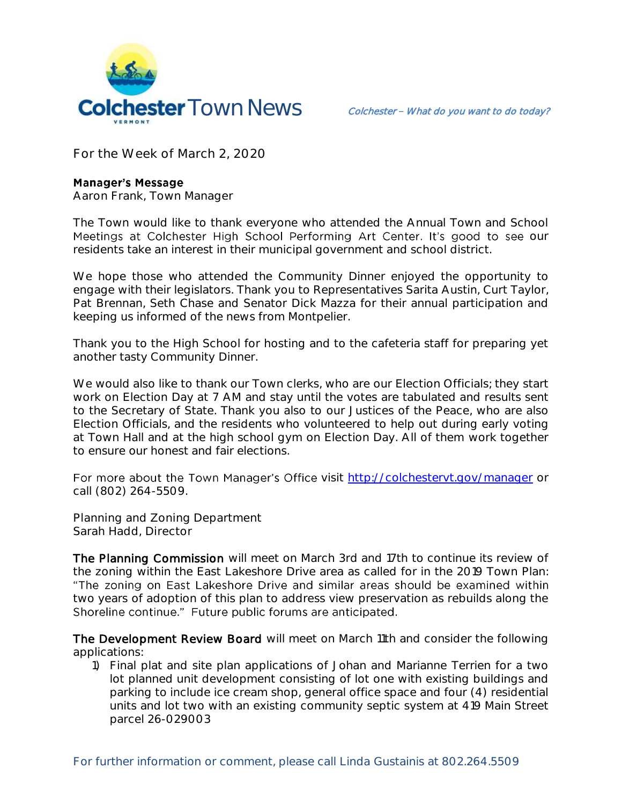

**For the Week of March 2, 2020**

## **Manager's Message**

**Aaron Frank, Town Manager**

The Town would like to thank everyone who attended the Annual Town and School Meetings at Colchester High School Performing Art Center. It's good to see our residents take an interest in their municipal government and school district.

We hope those who attended the Community Dinner enjoyed the opportunity to engage with their legislators. Thank you to Representatives Sarita Austin, Curt Taylor, Pat Brennan, Seth Chase and Senator Dick Mazza for their annual participation and keeping us informed of the news from Montpelier.

Thank you to the High School for hosting and to the cafeteria staff for preparing yet another tasty Community Dinner.

We would also like to thank our Town clerks, who are our Election Officials; they start work on Election Day at 7 AM and stay until the votes are tabulated and results sent to the Secretary of State. Thank you also to our Justices of the Peace, who are also Election Officials, and the residents who volunteered to help out during early voting at Town Hall and at the high school gym on Election Day. All of them work together to ensure our honest and fair elections.

For more about the Town Manager's Office visit<http://colchestervt.gov/manager> or call (802) 264-5509.

**Planning and Zoning Department Sarah Hadd, Director** 

The Planning Commission will meet on March 3rd and 17th to continue its review of the zoning within the East Lakeshore Drive area as called for in the 2019 Town Plan: "The zoning on East Lakeshore Drive and similar areas should be examined within two years of adoption of this plan to address view preservation as rebuilds along the Shoreline continue." Future public forums are anticipated.

The Development Review Board will meet on March 11th and consider the following applications:

1) Final plat and site plan applications of Johan and Marianne Terrien for a two lot planned unit development consisting of lot one with existing buildings and parking to include ice cream shop, general office space and four (4) residential units and lot two with an existing community septic system at 419 Main Street parcel 26-029003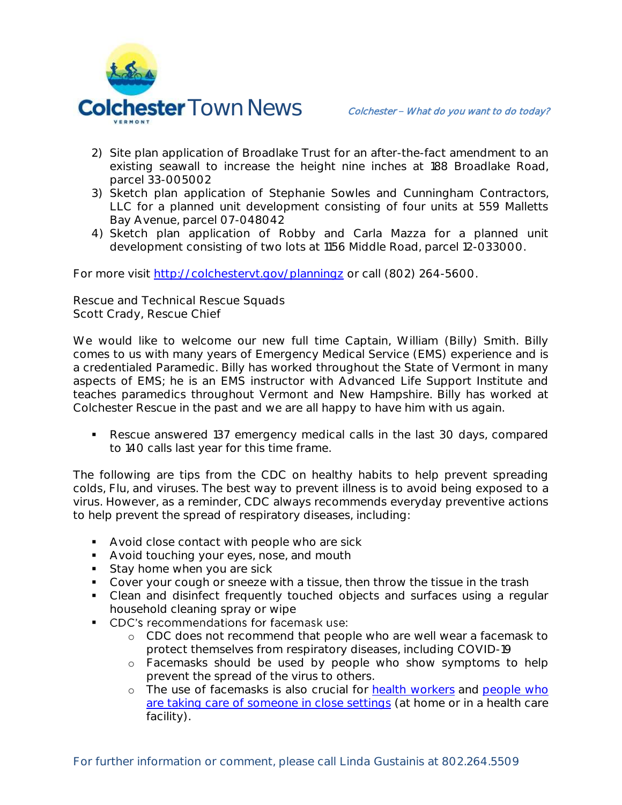

- 2) Site plan application of Broadlake Trust for an after-the-fact amendment to an existing seawall to increase the height nine inches at 188 Broadlake Road, parcel 33-005002
- 3) Sketch plan application of Stephanie Sowles and Cunningham Contractors, LLC for a planned unit development consisting of four units at 559 Malletts Bay Avenue, parcel 07-048042
- 4) Sketch plan application of Robby and Carla Mazza for a planned unit development consisting of two lots at 1156 Middle Road, parcel 12-033000.

For more visit<http://colchestervt.gov/planningz> or call (802) 264-5600.

**Rescue and Technical Rescue Squads Scott Crady, Rescue Chief**

We would like to welcome our new full time Captain, William (Billy) Smith. Billy comes to us with many years of Emergency Medical Service (EMS) experience and is a credentialed Paramedic. Billy has worked throughout the State of Vermont in many aspects of EMS; he is an EMS instructor with Advanced Life Support Institute and teaches paramedics throughout Vermont and New Hampshire. Billy has worked at Colchester Rescue in the past and we are all happy to have him with us again.

 Rescue answered 137 emergency medical calls in the last 30 days, compared to 140 calls last year for this time frame.

The following are tips from the CDC on healthy habits to help prevent spreading colds, Flu, and viruses. The best way to prevent illness is to avoid being exposed to a virus. However, as a reminder, CDC always recommends everyday preventive actions to help prevent the spread of respiratory diseases, including:

- **Avoid close contact with people who are sick**
- **Avoid touching your eyes, nose, and mouth**
- Stay home when you are sick
- Cover your cough or sneeze with a tissue, then throw the tissue in the trash
- Clean and disinfect frequently touched objects and surfaces using a regular household cleaning spray or wipe
- CDC's recommendations for facemask use:
	- o CDC does not recommend that people who are well wear a facemask to protect themselves from respiratory diseases, including COVID-19
	- o Facemasks should be used by people who show symptoms to help prevent the spread of the virus to others.
	- o The use of facemasks is also crucial for **[health workers](https://www.cdc.gov/coronavirus/2019-nCoV/hcp/infection-control.html)** and people who [are taking care of someone in close settings](https://www.cdc.gov/coronavirus/2019-ncov/hcp/guidance-home-care.html) (at home or in a health care facility).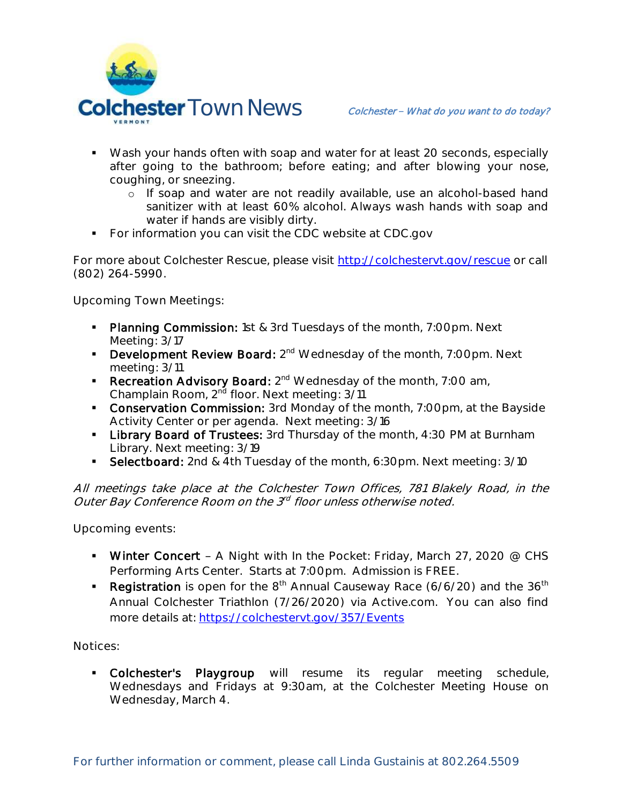

- Wash your hands often with soap and water for at least 20 seconds, especially after going to the bathroom; before eating; and after blowing your nose, coughing, or sneezing.
	- o If soap and water are not readily available, use an alcohol-based hand sanitizer with at least 60% alcohol. Always wash hands with soap and water if hands are visibly dirty.
- **For information you can visit the CDC website at CDC.gov**

For more about Colchester Rescue, please visit [http://colchestervt.gov/rescue](http://colchestervt.gov/rescue/index.shtml) or call (802) 264-5990.

**Upcoming Town Meetings:** 

- Planning Commission: 1st & 3rd Tuesdays of the month, 7:00pm. Next Meeting: 3/17
- **Development Review Board:** 2<sup>nd</sup> Wednesday of the month, 7:00pm. Next meeting: 3/11
- **Recreation Advisory Board:**  $2^{nd}$  Wednesday of the month, 7:00 am, Champlain Room, 2<sup>nd</sup> floor. Next meeting: 3/11
- **Conservation Commission:** 3rd Monday of the month, 7:00pm, at the Bayside Activity Center or per agenda. Next meeting: 3/16
- **-** Library Board of Trustees: 3rd Thursday of the month, 4:30 PM at Burnham Library. Next meeting: 3/19
- Selectboard: 2nd & 4th Tuesday of the month, 6:30pm. Next meeting: 3/10

All meetings take place at the Colchester Town Offices, 781 Blakely Road, in the Outer Bay Conference Room on the 3<sup>rd</sup> floor unless otherwise noted.

**Upcoming events:** 

- Winter Concert A Night with In the Pocket: Friday, March 27, 2020  $@$  CHS Performing Arts Center. Starts at 7:00pm. Admission is FREE.
- Registration is open for the  $8<sup>th</sup>$  Annual Causeway Race (6/6/20) and the  $36<sup>th</sup>$ Annual Colchester Triathlon (7/26/2020) via Active.com. You can also find more details at:<https://colchestervt.gov/357/Events>

**Notices:**

 Colchester's Playgroup will resume its regular meeting schedule, Wednesdays and Fridays at 9:30am, at the Colchester Meeting House on Wednesday, March 4.